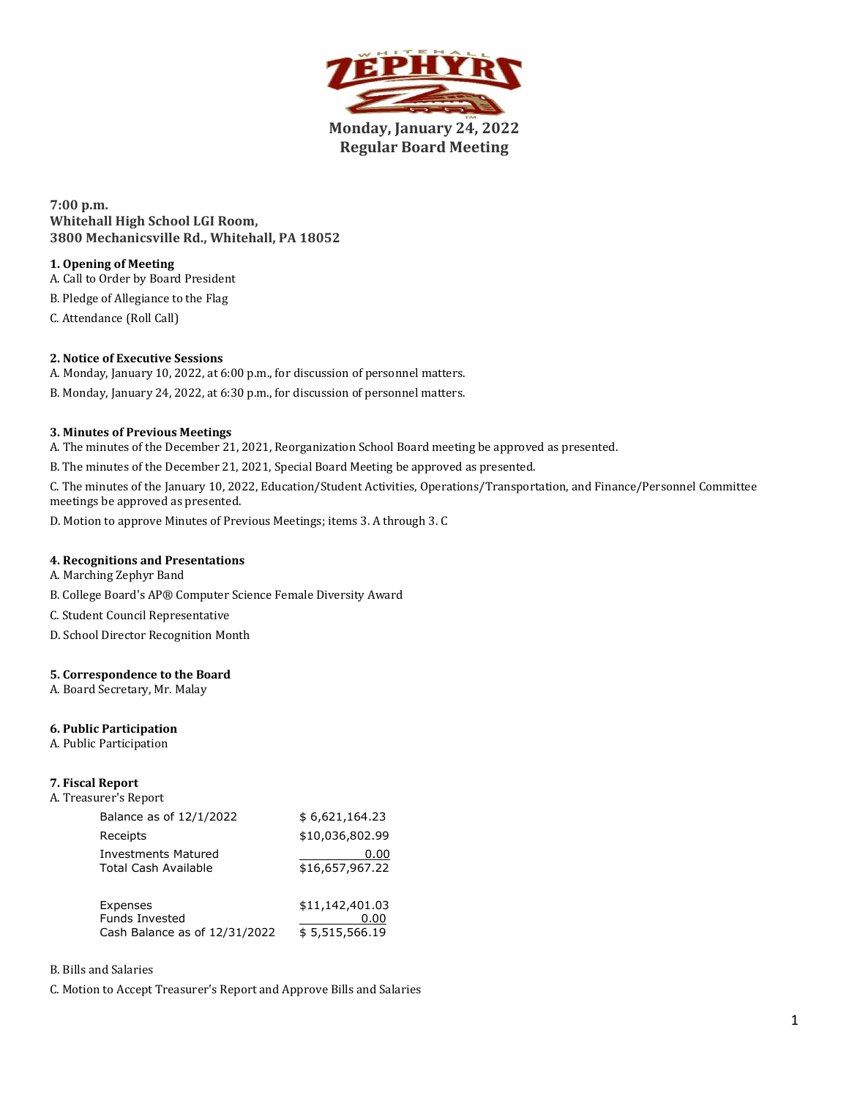

**Monday, January 24, 2022 Regular Board Meeting**

**7:00 p.m. Whitehall High School LGI Room, 3800 Mechanicsville Rd., Whitehall, PA 18052**

# **1. Opening of Meeting**

A. Call to Order by Board President

B. Pledge of Allegiance to the Flag

C. Attendance (Roll Call)

# **2. Notice of Executive Sessions**

- A. Monday, January 10, 2022, at 6:00 p.m., for discussion of personnel matters.
- B. Monday, January 24, 2022, at 6:30 p.m., for discussion of personnel matters.

# **3. Minutes of Previous Meetings**

A. The minutes of the December 21, 2021, Reorganization School Board meeting be approved as presented.

B. The minutes of the December 21, 2021, Special Board Meeting be approved as presented.

C. The minutes of the January 10, 2022, Education/Student Activities, Operations/Transportation, and Finance/Personnel Committee meetings be approved as presented.

D. Motion to approve Minutes of Previous Meetings; items 3. A through 3. C

# **4. Recognitions and Presentations**

A. Marching Zephyr Band

B. College Board's AP® Computer Science Female Diversity Award

C. Student Council Representative

D. School Director Recognition Month

# **5. Correspondence to the Board**

A. Board Secretary, Mr. Malay

### **6. Public Participation**

A. Public Participation

# **7. Fiscal Report**

| Balance as of 12/1/2022       | \$6,621,164.23  |
|-------------------------------|-----------------|
| Receipts                      | \$10,036,802.99 |
| Investments Matured           | 0.00            |
| Total Cash Available          | \$16,657,967.22 |
| Expenses                      | \$11,142,401.03 |
| <b>Funds Invested</b>         | 0.00            |
| Cash Balance as of 12/31/2022 | \$5,515,566.19  |

### B. Bills and Salaries

C. Motion to Accept Treasurer's Report and Approve Bills and Salaries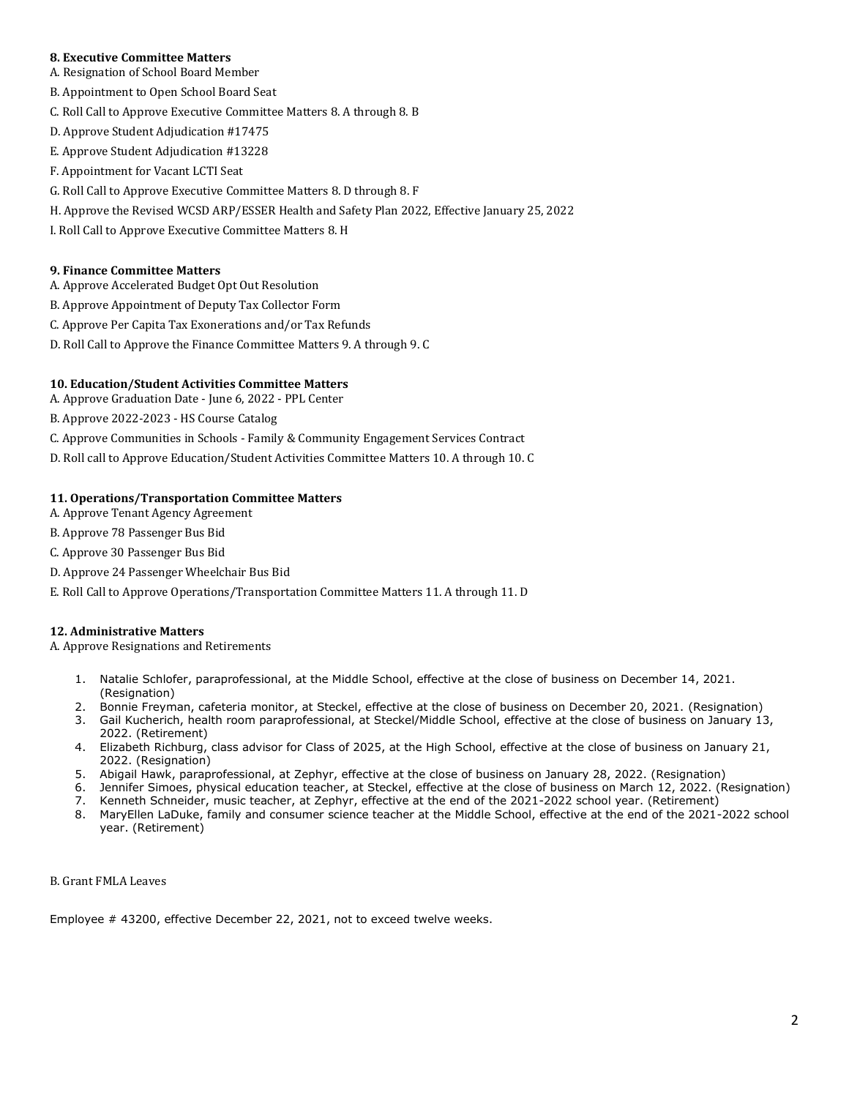### **8. Executive Committee Matters**

- A. Resignation of School Board Member
- B. Appointment to Open School Board Seat
- C. Roll Call to Approve Executive Committee Matters 8. A through 8. B
- D. Approve Student Adjudication #17475
- E. Approve Student Adjudication #13228
- F. Appointment for Vacant LCTI Seat
- G. Roll Call to Approve Executive Committee Matters 8. D through 8. F
- H. Approve the Revised WCSD ARP/ESSER Health and Safety Plan 2022, Effective January 25, 2022
- I. Roll Call to Approve Executive Committee Matters 8. H

### **9. Finance Committee Matters**

- A. Approve Accelerated Budget Opt Out Resolution
- B. Approve Appointment of Deputy Tax Collector Form
- C. Approve Per Capita Tax Exonerations and/or Tax Refunds
- D. Roll Call to Approve the Finance Committee Matters 9. A through 9. C

### **10. Education/Student Activities Committee Matters**

- A. Approve Graduation Date June 6, 2022 PPL Center
- B. Approve 2022-2023 HS Course Catalog
- C. Approve Communities in Schools Family & Community Engagement Services Contract
- D. Roll call to Approve Education/Student Activities Committee Matters 10. A through 10. C

### **11. Operations/Transportation Committee Matters**

- A. Approve Tenant Agency Agreement
- B. Approve 78 Passenger Bus Bid
- C. Approve 30 Passenger Bus Bid
- D. Approve 24 Passenger Wheelchair Bus Bid
- E. Roll Call to Approve Operations/Transportation Committee Matters 11. A through 11. D

# **12. Administrative Matters**

A. Approve Resignations and Retirements

- 1. Natalie Schlofer, paraprofessional, at the Middle School, effective at the close of business on December 14, 2021. (Resignation)
- 2. Bonnie Freyman, cafeteria monitor, at Steckel, effective at the close of business on December 20, 2021. (Resignation)
- 3. Gail Kucherich, health room paraprofessional, at Steckel/Middle School, effective at the close of business on January 13, 2022. (Retirement)
- 4. Elizabeth Richburg, class advisor for Class of 2025, at the High School, effective at the close of business on January 21, 2022. (Resignation)
- 5. Abigail Hawk, paraprofessional, at Zephyr, effective at the close of business on January 28, 2022. (Resignation)
- 6. Jennifer Simoes, physical education teacher, at Steckel, effective at the close of business on March 12, 2022. (Resignation)
- 7. Kenneth Schneider, music teacher, at Zephyr, effective at the end of the 2021-2022 school year. (Retirement)
- 8. MaryEllen LaDuke, family and consumer science teacher at the Middle School, effective at the end of the 2021-2022 school year. (Retirement)

### B. Grant FMLA Leaves

Employee # 43200, effective December 22, 2021, not to exceed twelve weeks.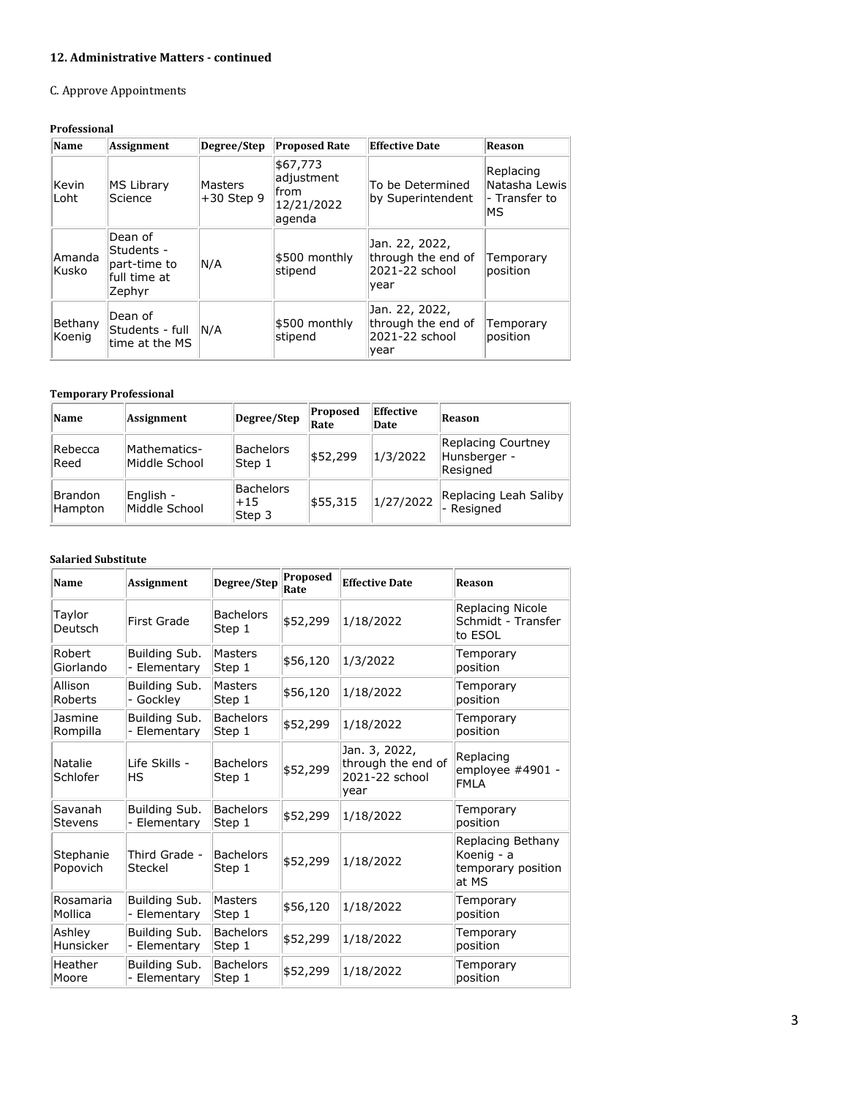# **12. Administrative Matters - continued**

# C. Approve Appointments

# **Professional**

| Name              | Assignment                                                      | Degree/Step                    | <b>Proposed Rate</b>                                   | <b>Effective Date</b>                                          | <b>Reason</b>                                      |
|-------------------|-----------------------------------------------------------------|--------------------------------|--------------------------------------------------------|----------------------------------------------------------------|----------------------------------------------------|
| Kevin<br>Loht     | MS Library<br>Science                                           | <b>Masters</b><br>$+30$ Step 9 | \$67,773<br>adjustment<br>from<br>12/21/2022<br>agenda | To be Determined<br>by Superintendent                          | Replacing<br>Natasha Lewis<br>l- Transfer to<br>ΜS |
| Amanda<br>Kusko   | Dean of<br>Students -<br>part-time to<br>full time at<br>Zephyr | N/A                            | \$500 monthly<br>stipend                               | Jan. 22, 2022,<br>through the end of<br>2021-22 school<br>year | Temporary<br>position                              |
| Bethany<br>Koenig | Dean of<br>Students - full<br>time at the MS                    | N/A                            | \$500 monthly<br>stipend                               | Jan. 22, 2022,<br>through the end of<br>2021-22 school<br>year | Temporary<br>position                              |

### **Temporary Professional**

| Name                      | Assignment                    | Degree/Step                  | Proposed<br>Rate | Effective<br>Date | Reason                                         |
|---------------------------|-------------------------------|------------------------------|------------------|-------------------|------------------------------------------------|
| Rebecca<br>Reed           | Mathematics-<br>Middle School | Bachelors<br>Step 1          | \$52,299         | 1/3/2022          | Replacing Courtney<br>Hunsberger -<br>Resigned |
| <b>Brandon</b><br>Hampton | English -<br>Middle School    | Bachelors<br>$+15$<br>Step 3 | \$55,315         | 1/27/2022         | Replacing Leah Saliby<br>- Resigned            |

### **Salaried Substitute**

| Name                      | <b>Assignment</b>             | Degree/Step                | Proposed<br>Rate | <b>Effective Date</b>                                         | Reason                                                         |
|---------------------------|-------------------------------|----------------------------|------------------|---------------------------------------------------------------|----------------------------------------------------------------|
| Taylor<br>Deutsch         | First Grade                   | <b>Bachelors</b><br>Step 1 | \$52,299         | 1/18/2022                                                     | Replacing Nicole<br>Schmidt - Transfer<br>to ESOL              |
| Robert<br>Giorlando       | Building Sub.<br>- Elementary | Masters<br>Step 1          | \$56,120         | 1/3/2022                                                      | Temporary<br>position                                          |
| Allison<br>Roberts        | Building Sub.<br>- Gockley    | Masters<br>Step 1          | \$56,120         | 1/18/2022                                                     | Temporary<br>position                                          |
| Jasmine<br>Rompilla       | Building Sub.<br>- Elementary | <b>Bachelors</b><br>Step 1 | \$52,299         | 1/18/2022                                                     | Temporary<br>position                                          |
| Natalie<br>Schlofer       | Life Skills -<br>ΗS           | <b>Bachelors</b><br>Step 1 | \$52,299         | Jan. 3, 2022,<br>through the end of<br>2021-22 school<br>year | Replacing<br>employee #4901 -<br><b>FMLA</b>                   |
| Savanah<br><b>Stevens</b> | Building Sub.<br>- Elementary | <b>Bachelors</b><br>Step 1 | \$52,299         | 1/18/2022                                                     | Temporary<br>position                                          |
| Stephanie<br>Popovich     | Third Grade -<br>Steckel      | <b>Bachelors</b><br>Step 1 | \$52,299         | 1/18/2022                                                     | Replacing Bethany<br>Koenig - a<br>temporary position<br>at MS |
| Rosamaria<br>Mollica      | Building Sub.<br>- Elementary | Masters<br>Step 1          | \$56,120         | 1/18/2022                                                     | Temporary<br>position                                          |
| Ashlev<br>Hunsicker       | Building Sub.<br>- Elementary | <b>Bachelors</b><br>Step 1 | \$52,299         | 1/18/2022                                                     | Temporary<br>position                                          |
| Heather<br>Moore          | Building Sub.<br>- Elementary | <b>Bachelors</b><br>Step 1 | \$52,299         | 1/18/2022                                                     | Temporary<br>position                                          |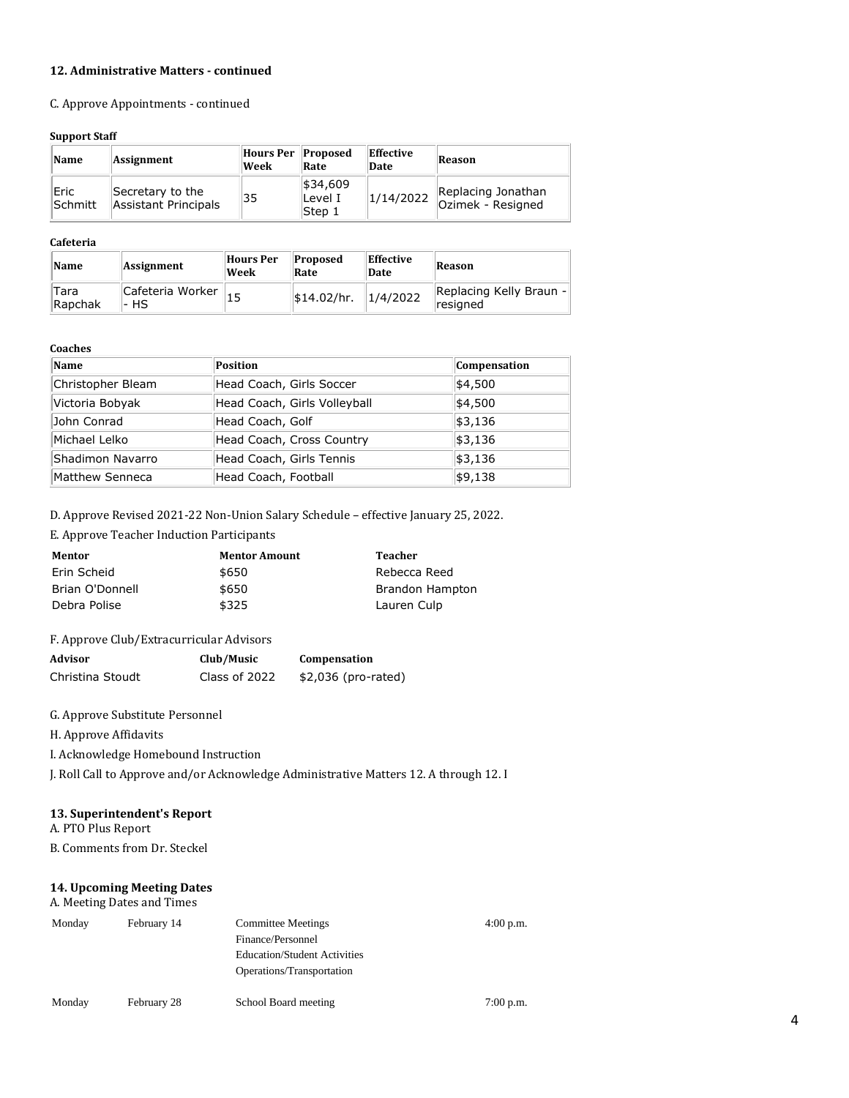### **12. Administrative Matters - continued**

C. Approve Appointments - continued

### **Support Staff**

| Name            | Assignment                                      | Hours Per Proposed<br>Week | Rate                           | Effective<br>Date | Reason                                  |
|-----------------|-------------------------------------------------|----------------------------|--------------------------------|-------------------|-----------------------------------------|
| Eric<br>Schmitt | Secretary to the<br><b>Assistant Principals</b> | 35                         | \$34,609<br>lLevel I<br>Step 1 | 1/14/2022         | Replacing Jonathan<br>Ozimek - Resigned |

### **Cafeteria**

| Name            | Assignment                | Hours Per<br>Week | <b>Proposed</b><br>Rate | Effective<br>Date | Reason                                           |
|-----------------|---------------------------|-------------------|-------------------------|-------------------|--------------------------------------------------|
| Tara<br>Rapchak | Cafeteria Worker<br>l- HS |                   | \$14.02/hr.             | 1/4/2022          | $\left\vert$ Replacing Kelly Braun -<br>resigned |

### **Coaches**

| Name              | Position                     | Compensation |
|-------------------|------------------------------|--------------|
| Christopher Bleam | Head Coach, Girls Soccer     | \$4,500      |
| Victoria Bobyak   | Head Coach, Girls Volleyball | \$4,500      |
| John Conrad       | Head Coach, Golf             | \$3,136      |
| Michael Lelko     | Head Coach, Cross Country    | \$3,136      |
| Shadimon Navarro  | Head Coach, Girls Tennis     | \$3,136      |
| Matthew Senneca   | Head Coach, Football         | \$9,138      |

D. Approve Revised 2021-22 Non-Union Salary Schedule – effective January 25, 2022.

E. Approve Teacher Induction Participants

| Mentor          | <b>Mentor Amount</b> | Teacher         |
|-----------------|----------------------|-----------------|
| Erin Scheid     | \$650                | Rebecca Reed    |
| Brian O'Donnell | \$650                | Brandon Hampton |
| Debra Polise    | \$325                | Lauren Culp     |

# F. Approve Club/Extracurricular Advisors

| Advisor          | Club/Music    | Compensation        |
|------------------|---------------|---------------------|
| Christina Stoudt | Class of 2022 | \$2,036 (pro-rated) |

G. Approve Substitute Personnel

H. Approve Affidavits

I. Acknowledge Homebound Instruction

J. Roll Call to Approve and/or Acknowledge Administrative Matters 12. A through 12. I

# **13. Superintendent's Report**

A. PTO Plus Report

B. Comments from Dr. Steckel

# **14. Upcoming Meeting Dates**

### A. Meeting Dates and Times

| Monday | February 14 | <b>Committee Meetings</b><br>Finance/Personnel<br><b>Education/Student Activities</b><br>Operations/Transportation | $4:00$ p.m. |
|--------|-------------|--------------------------------------------------------------------------------------------------------------------|-------------|
| Monday | February 28 | School Board meeting                                                                                               | 7:00 p.m.   |